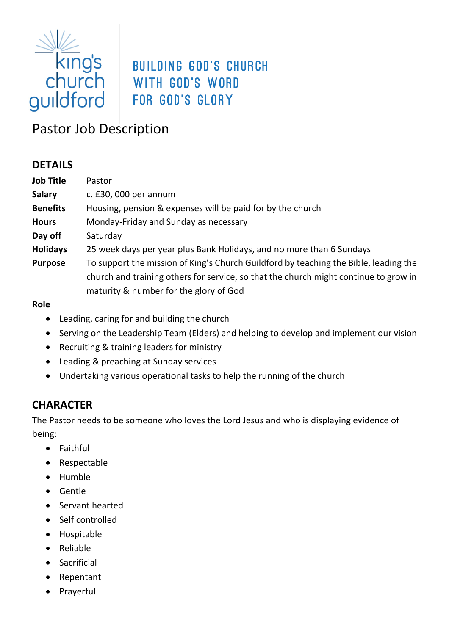

# **BUILDING GOD'S CHURCH**

## Pastor Job Description

## **DETAILS**

| <b>Job Title</b> | Pastor                                                                                                                                                                                                                 |
|------------------|------------------------------------------------------------------------------------------------------------------------------------------------------------------------------------------------------------------------|
| <b>Salary</b>    | c. $£30,000$ per annum                                                                                                                                                                                                 |
| <b>Benefits</b>  | Housing, pension & expenses will be paid for by the church                                                                                                                                                             |
| <b>Hours</b>     | Monday-Friday and Sunday as necessary                                                                                                                                                                                  |
| Day off          | Saturday                                                                                                                                                                                                               |
| <b>Holidays</b>  | 25 week days per year plus Bank Holidays, and no more than 6 Sundays                                                                                                                                                   |
| <b>Purpose</b>   | To support the mission of King's Church Guildford by teaching the Bible, leading the<br>church and training others for service, so that the church might continue to grow in<br>maturity & number for the glory of God |
| <b>Polo</b>      |                                                                                                                                                                                                                        |

#### **Role**

- Leading, caring for and building the church
- Serving on the Leadership Team (Elders) and helping to develop and implement our vision
- Recruiting & training leaders for ministry
- Leading & preaching at Sunday services
- Undertaking various operational tasks to help the running of the church

## **CHARACTER**

The Pastor needs to be someone who loves the Lord Jesus and who is displaying evidence of being:

- Faithful
- Respectable
- Humble
- Gentle
- Servant hearted
- Self controlled
- Hospitable
- Reliable
- Sacrificial
- Repentant
- Prayerful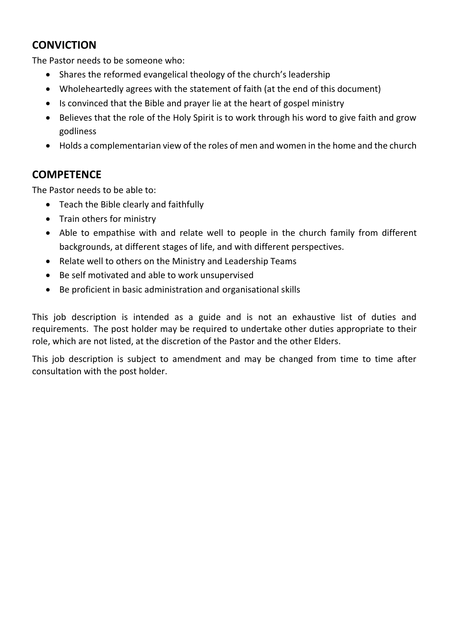## **CONVICTION**

The Pastor needs to be someone who:

- Shares the reformed evangelical theology of the church's leadership
- Wholeheartedly agrees with the statement of faith (at the end of this document)
- Is convinced that the Bible and prayer lie at the heart of gospel ministry
- Believes that the role of the Holy Spirit is to work through his word to give faith and grow godliness
- Holds a complementarian view of the roles of men and women in the home and the church

## **COMPETENCE**

The Pastor needs to be able to:

- Teach the Bible clearly and faithfully
- Train others for ministry
- Able to empathise with and relate well to people in the church family from different backgrounds, at different stages of life, and with different perspectives.
- Relate well to others on the Ministry and Leadership Teams
- Be self motivated and able to work unsupervised
- Be proficient in basic administration and organisational skills

This job description is intended as a guide and is not an exhaustive list of duties and requirements. The post holder may be required to undertake other duties appropriate to their role, which are not listed, at the discretion of the Pastor and the other Elders.

This job description is subject to amendment and may be changed from time to time after consultation with the post holder.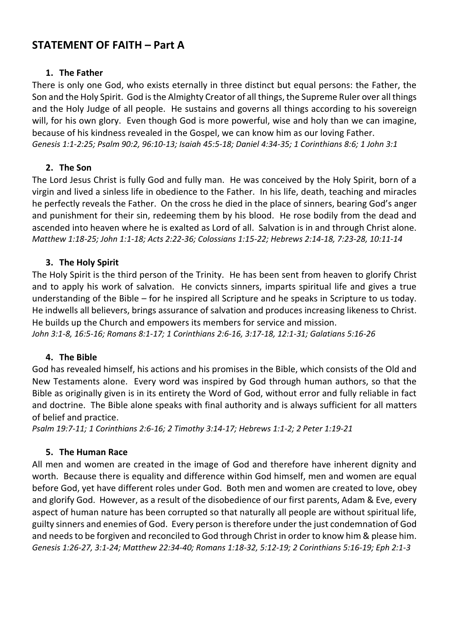## **STATEMENT OF FAITH – Part A**

#### **1. The Father**

There is only one God, who exists eternally in three distinct but equal persons: the Father, the Son and the Holy Spirit. God is the Almighty Creator of all things, the Supreme Ruler over all things and the Holy Judge of all people. He sustains and governs all things according to his sovereign will, for his own glory. Even though God is more powerful, wise and holy than we can imagine, because of his kindness revealed in the Gospel, we can know him as our loving Father. *[Genesis 1:1-2:25;](http://biblia.com/bible/tniv/Genesis%201.1-2.25) [Psalm 90:2,](http://biblia.com/bible/tniv/Psalm%2090.2) [96:10-13;](http://biblia.com/bible/tniv/Psalm%2096.10-13) [Isaiah 45:5-18;](http://biblia.com/bible/tniv/Isaiah%2045.5-18) [Daniel 4:34-35;](http://biblia.com/bible/tniv/Daniel%204.34-35) [1](http://biblia.com/bible/tniv/Titus%203.4-7) Corinthians 8:6; 1 John 3:1*

#### **2. The Son**

The Lord Jesus Christ is fully God and fully man. He was conceived by the Holy Spirit, born of a virgin and lived a sinless life in obedience to the Father. In his life, death, teaching and miracles he perfectly reveals the Father. On the cross he died in the place of sinners, bearing God's anger and punishment for their sin, redeeming them by his blood. He rose bodily from the dead and ascended into heaven where he is exalted as Lord of all. Salvation is in and through Christ alone. *[Matthew 1:18-25;](http://biblia.com/bible/tniv/Matthew%201.18-25) [John 1:1-18;](http://biblia.com/bible/tniv/John%201.1-18) [Acts 2:22-36;](http://biblia.com/bible/tniv/Acts%202.22-36) [Colossians 1:15-22;](http://biblia.com/bible/tniv/Colossians%201.15-22) [Hebrews 2:14-18,](http://biblia.com/bible/tniv/Hebrews%202.14-18) [7:23-28,](http://biblia.com/bible/tniv/Hebrews%207.23-28) [10:11-14](http://biblia.com/bible/tniv/Hebrews%2010.11-14)*

#### **3. The Holy Spirit**

The Holy Spirit is the third person of the Trinity. He has been sent from heaven to glorify Christ and to apply his work of salvation. He convicts sinners, imparts spiritual life and gives a true understanding of the Bible – for he inspired all Scripture and he speaks in Scripture to us today. He indwells all believers, brings assurance of salvation and produces increasing likeness to Christ. He builds up the Church and empowers its members for service and mission.

*[John 3:1-8,](http://biblia.com/bible/tniv/John%203.1-8) [16:5-16;](http://biblia.com/bible/tniv/John%2016.5-16) [Romans 8:1-17;](http://biblia.com/bible/tniv/Romans%208.1-17) [1 Corinthians 2:6-16,](http://biblia.com/bible/tniv/1%20Corinthians%202.6-16) [3:17-18,](http://biblia.com/bible/tniv/1%20Corinthians%203.17-18) [12:1-31;](http://biblia.com/bible/tniv/1%20Corinthians%2012.1-31) [Galatians 5:16-26](http://biblia.com/bible/tniv/Galatians%205.16-26)*

#### **4. The Bible**

God has revealed himself, his actions and his promises in the Bible, which consists of the Old and New Testaments alone. Every word was inspired by God through human authors, so that the Bible as originally given is in its entirety the Word of God, without error and fully reliable in fact and doctrine. The Bible alone speaks with final authority and is always sufficient for all matters of belief and practice.

*[Psalm 19:7-11;](http://biblia.com/bible/tniv/Psalm%2019.7-11) [1 Corinthians 2:6-16;](http://biblia.com/bible/tniv/1%20Corinthians%202.6-16) [2 Timothy 3:14-17;](http://biblia.com/bible/tniv/2%20Timothy%203.14-17) [Hebrews 1:1-2;](http://biblia.com/bible/tniv/Hebrews%201.1-2) [2 Peter 1:19-21](http://biblia.com/bible/tniv/2%20Peter%201.19-21)*

#### **5. The Human Race**

All men and women are created in the image of God and therefore have inherent dignity and worth. Because there is equality and difference within God himself, men and women are equal before God, yet have different roles under God. Both men and women are created to love, obey and glorify God. However, as a result of the disobedience of our first parents, Adam & Eve, every aspect of human nature has been corrupted so that naturally all people are without spiritual life, guilty sinners and enemies of God. Every person is therefore under the just condemnation of God and needs to be forgiven and reconciled to God through Christ in order to know him & please him. *[Genesis 1:26-27,](http://biblia.com/bible/tniv/Genesis%201.26-27) [3:1-24;](http://biblia.com/bible/tniv/Genesis%203.1-24) [Matthew 22:34-40;](http://biblia.com/bible/tniv/Matthew%2022.34-40) [Romans 1:18-32,](http://biblia.com/bible/tniv/Romans%201.18-32) [5:12-19;](http://biblia.com/bible/tniv/Romans%205.12-19) [2 Corinthians 5:16-19;](http://biblia.com/bible/tniv/2%20Corinthians%205.16-19) [Eph 2:1-3](http://biblia.com/bible/tniv/Ephesians%202.1-3)*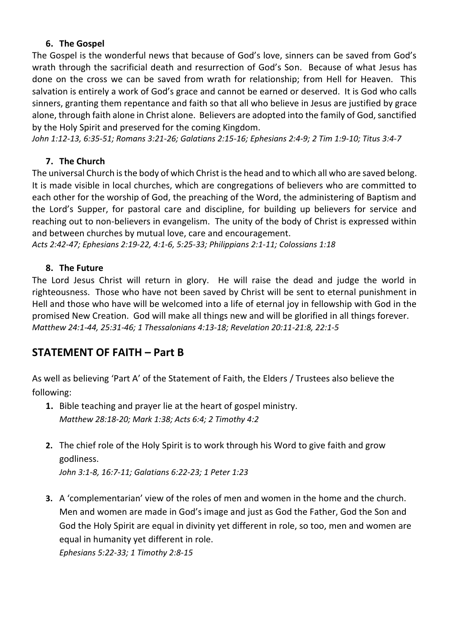#### **6. The Gospel**

The Gospel is the wonderful news that because of God's love, sinners can be saved from God's wrath through the sacrificial death and resurrection of God's Son. Because of what Jesus has done on the cross we can be saved from wrath for relationship; from Hell for Heaven. This salvation is entirely a work of God's grace and cannot be earned or deserved. It is God who calls sinners, granting them repentance and faith so that all who believe in Jesus are justified by grace alone, through faith alone in Christ alone. Believers are adopted into the family of God, sanctified by the Holy Spirit and preserved for the coming Kingdom.

*[John 1:12-13,](http://biblia.com/bible/tniv/John%201.12-13) [6:35-51;](http://biblia.com/bible/tniv/John%206.35-51) [Romans 3:21-26;](http://biblia.com/bible/tniv/Romans%203.21-26) [Galatians 2:15-16;](http://biblia.com/bible/tniv/Galatians%202.15-16) [Ephesians 2:4-9;](http://biblia.com/bible/tniv/Ephesians%202.4-9) [2 Tim 1:9-10;](http://biblia.com/bible/tniv/2%20Timothy%201.9-10) [Titus 3:4-7](http://biblia.com/bible/tniv/Titus%203.4-7)*

#### **7. The Church**

The universal Church is the body of which Christ is the head and to which all who are saved belong. It is made visible in local churches, which are congregations of believers who are committed to each other for the worship of God, the preaching of the Word, the administering of Baptism and the Lord's Supper, for pastoral care and discipline, for building up believers for service and reaching out to non-believers in evangelism. The unity of the body of Christ is expressed within and between churches by mutual love, care and encouragement.

*[Acts 2:42-47;](http://biblia.com/bible/tniv/Acts%202.42-47) [Ephesians 2:19-22,](http://biblia.com/bible/tniv/Ephesians%202.19-22) [4:1-6,](http://biblia.com/bible/tniv/Ephesians%204.1-6) [5:25-33;](http://biblia.com/bible/tniv/Ephesians%205.25-33) [Philippians 2:1-11;](http://biblia.com/bible/tniv/Philippians%202.1-11) [Colossians 1:18](http://biblia.com/bible/tniv/Colossians%201.18)*

#### **8. The Future**

The Lord Jesus Christ will return in glory. He will raise the dead and judge the world in righteousness. Those who have not been saved by Christ will be sent to eternal punishment in Hell and those who have will be welcomed into a life of eternal joy in fellowship with God in the promised New Creation. God will make all things new and will be glorified in all things forever. *[Matthew 24:1-44,](http://biblia.com/bible/tniv/Matthew%2024.1-44) 25:31-46[; 1 Thessalonians 4:13-18;](http://biblia.com/bible/tniv/1%20Thessalonians%204.13-18) [Revelation 20:11-21:8,](http://biblia.com/bible/tniv/Revelation%2020.11-21.4) [22:1-5](http://biblia.com/bible/tniv/Revelation%2022.1-5)*

## **STATEMENT OF FAITH – Part B**

As well as believing 'Part A' of the Statement of Faith, the Elders / Trustees also believe the following:

- **1.** Bible teaching and prayer lie at the heart of gospel ministry. *Matthew 28:18-20; Mark 1:38; Acts 6:4; 2 Timothy 4:2*
- **2.** The chief role of the Holy Spirit is to work through his Word to give faith and grow godliness.

*John 3:1-8, 16:7-11; Galatians 6:22-23; 1 Peter 1:23*

**3.** A 'complementarian' view of the roles of men and women in the home and the church. Men and women are made in God's image and just as God the Father, God the Son and God the Holy Spirit are equal in divinity yet different in role, so too, men and women are equal in humanity yet different in role. *Ephesians 5:22-33; 1 Timothy 2:8-15*